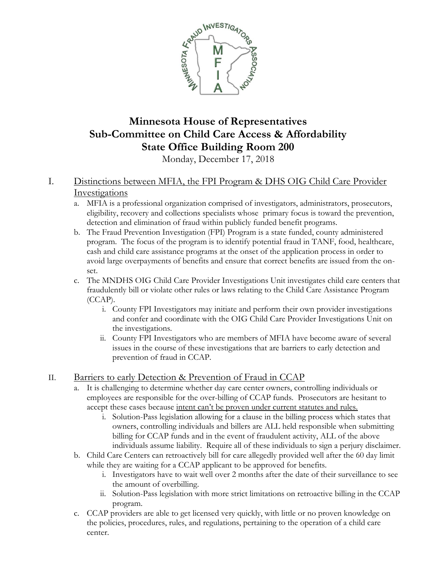

# **Minnesota House of Representatives Sub-Committee on Child Care Access & Affordability State Office Building Room 200**

Monday, December 17, 2018

## I. Distinctions between MFIA, the FPI Program & DHS OIG Child Care Provider Investigations

- a. MFIA is a professional organization comprised of investigators, administrators, prosecutors, eligibility, recovery and collections specialists whose primary focus is toward the prevention, detection and elimination of fraud within publicly funded benefit programs.
- b. The Fraud Prevention Investigation (FPI) Program is a state funded, county administered program. The focus of the program is to identify potential fraud in TANF, food, healthcare, cash and child care assistance programs at the onset of the application process in order to avoid large overpayments of benefits and ensure that correct benefits are issued from the onset.
- c. The MNDHS OIG Child Care Provider Investigations Unit investigates child care centers that fraudulently bill or violate other rules or laws relating to the Child Care Assistance Program (CCAP).
	- i. County FPI Investigators may initiate and perform their own provider investigations and confer and coordinate with the OIG Child Care Provider Investigations Unit on the investigations.
	- ii. County FPI Investigators who are members of MFIA have become aware of several issues in the course of these investigations that are barriers to early detection and prevention of fraud in CCAP.

### II. Barriers to early Detection & Prevention of Fraud in CCAP

- a. It is challenging to determine whether day care center owners, controlling individuals or employees are responsible for the over-billing of CCAP funds. Prosecutors are hesitant to accept these cases because intent can't be proven under current statutes and rules.
	- i. Solution-Pass legislation allowing for a clause in the billing process which states that owners, controlling individuals and billers are ALL held responsible when submitting billing for CCAP funds and in the event of fraudulent activity, ALL of the above individuals assume liability. Require all of these individuals to sign a perjury disclaimer.
- b. Child Care Centers can retroactively bill for care allegedly provided well after the 60 day limit while they are waiting for a CCAP applicant to be approved for benefits.
	- i. Investigators have to wait well over 2 months after the date of their surveillance to see the amount of overbilling.
	- ii. Solution-Pass legislation with more strict limitations on retroactive billing in the CCAP program.
- c. CCAP providers are able to get licensed very quickly, with little or no proven knowledge on the policies, procedures, rules, and regulations, pertaining to the operation of a child care center.